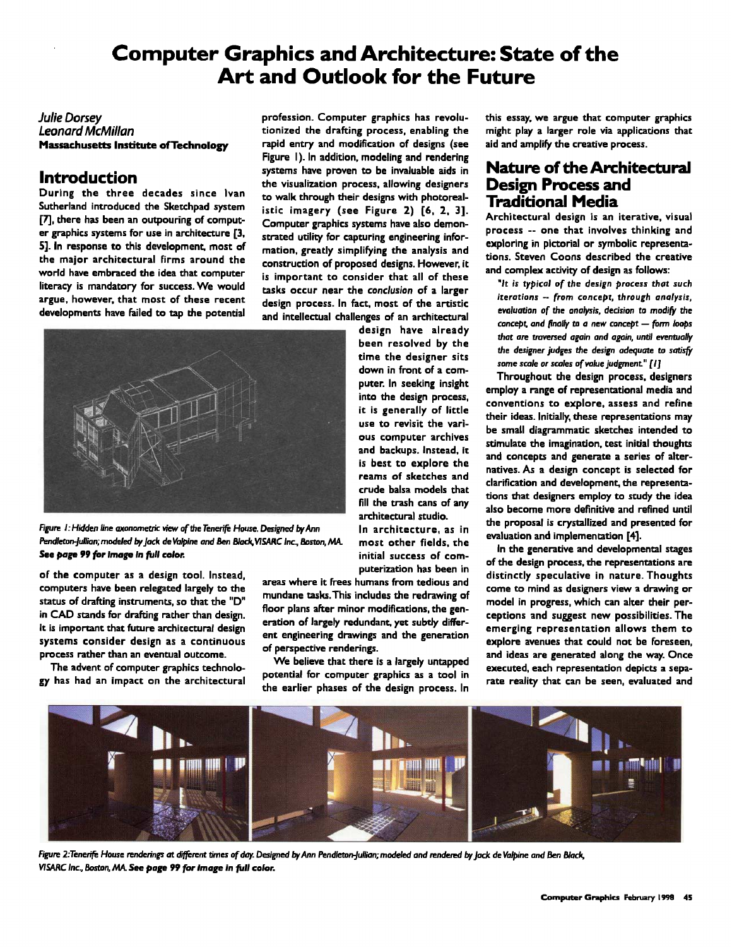# **Computer Graphics and** *Architecture:* **State of the Art and Outlook for the Future**

#### *Julie Dorsey Leonard McMillan*  Massachusetts Institute of Technology

## **Introduction**

During the three decades since Ivan Sutherland introduced *the* Skerchpad *system*  [7], there has been an outpouring of computer graphics systems for *use* in architecture [3, 5]. In response to this development, most of the major architectural firms around the world *have* embraced the idea that computer literacy is mandatory for *success.* We would argue, however, that most of these recent developments have failed to tap the potential

profession. Computer graphics *has* revolutionized *the* drafting process, enabling the rapid entry and modification of designs *(see*  Figure I). In addition, modeling and rendering systems have proven to be invaluable aids in the visualization process, allowing *designers*  to walk through their designs with photorealistic imagery *(see* Figure 2) [6, 2, 3]. Computer graphics systems have also demonstrated utility for capturing engineering information, greatly simplifying *the* analysis and construction of proposed designs. However, it is important to consider that all of these tasks occur near the *conclusion* of a larger design process. In fact, most of the artistic and intellectual *challenges* of an architectural



*Rlure h Hidden line axonemetric view of the Tenerife House. Designed by Ann Pendleton-Jullian; modeled by Jack de Valpine and Ben Black, V/SARC* Inc., Boston, MIL See *page 99 for Image In full color.* 

of the computer as a design tool. Instead, computers *have* been relegated largely to the status of drafting instruments, so that the "D" in CAD stands for drafting rather than design. It is important that future architectural design systems consider design as a continuous process rather than an eventual outcome.

The advent of computer graphics technology has had an impact on the architectural

design have already been *resolved* by the time the designer sits down in front of a computer. In *seeking insight*  into the design process, it is generally of little use to revisit the various computer archives and backups. Instead, it is best to explore the reams of *sketches* and crude balsa models that fill the trash cans of any architectural studio. In architecture, as in

most other fields, the initial success of computerization has been in

areas where it frees humans from tedious and mundane tasks.This includes the redrawing of floor plans after minor modifications, the generation of largely redundant, yet subtly differeat engineering drawings and the generation of perspective renderings.

We believe that there is a largely untapped potential for computer graphics as a tool in the earlier phases of the design process. In this essay, we argue that computer graphics might play a larger role via applications that aid and amplify the creative process.

### **Nature of the Architectural Design Process and Traditional Media**

Architectural design is an iterative, visual process -- one that involves thinking and exploring in pictorial or symbolic representations. \$teven Coons *described* the creative and complex activity of design as follows:

*"It is typical of the design process that such iterations -- from concept, through analysis,*  evaluation of the analysis, decision to modify the concept, and *finally to a* new *concept -- form loops that are traversed again and again,* until *eventually the designer judges the design adequate to satisfy*  some sca/e or *scales of value* judgment" *[I]* 

Throughout the design process, designers employ a range of representational media and conventions to *explore,* assess and refine their ideas. Initially, *these* representations may be small diagrammatic *sketches* intended to stimulate the imagination, *test* initial thoughts and concepts and generate a series of alternatives. As a design concept is selected for clarification and development, the representations chat *designers* employ to study the idea also become more definitive and refined until the proposal is crystallized and presented for evaluation and implementation [4].

In *the* generative and developmental *stages*  of the design process, the representations are distinctly *speculative* in nature. Thoughts come to mind as *designers* view a drawing or model in progress, which can alter their perceptions and suggest new possibilities. The emerging *representation* allows them to explore avenues that could not be foreseen, and ideas are generated along *the* way. Once executed, each representation depicts a separate reality that can be *seen,* evaluated and



Figure 2:Tenerife House renderings at different times of day. Designed by Ann Pendleton-Jullian; modeled and rendered by Jack de Valpine and Ben Black, VISARC Inc., Boston, MA. See page 99 for image in *full color.*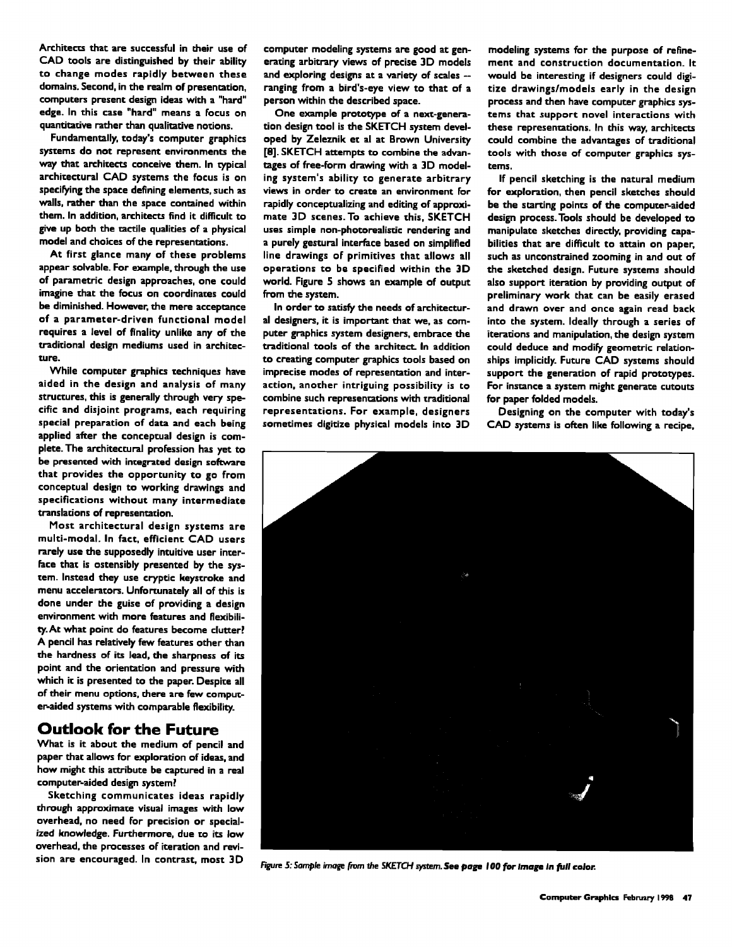Architects that are successful in their use of CAD tools are distinguished by their ability to change modes rapidly between *these*  domains. Second, in the realm of presentation, computers present design ideas with a "hard" edge. In this case "hard" means a focus on quantitative rather than qualitative notions.

Fundamentally, today's computer graphics systems do not represent environments the way that architects conceive them. In typical architectural CAD systems *the* focus is on specifying the space defining elements, such as walls, rather than the space contained within them. In addition, architects find it difficult to give up both the tactile qualities of a physical model and choices of the representations.

At first glance many of *these* problems appear solvable. For example, *through* the use of parametric design approaches, *one* could imagine that the focus on coordinates could be *diminished.* However, the mere acceptance of a parameter-driven functional model requires a level of finality unlike any of the traditional design mediums used in *architec*ture.

While computer graphics *techniques have*  aided in the design and analysis of many structures, this is generally through very specific and disjoint programs, each requiring special preparation of data and each being applied after the conceptual design is complete. The architectural profession has yet to be presented with integrated design software that provides the opportunity to go from conceptual design to working drawings and specifications without many intermediate translations of representation.

Most architectural design systems are multi-modal. In fact, efficient CAD users rarely use the supposedly intuitive *user* inter-Face that is ostensibly *presented* by the sys*tem.* Instead *they* use cryptic keystroke and menu accelerators. Unfortunately all of this is done under the guise of providing a design environment with more features and flexibility. At what point do features become clutter? A pencil has relatively few features other than the hardness of its lead, the sharpness of its point and the orientation and pressure with which it is *presented to the* paper. Despite all of their menu options, there are few computer-aided systems with comparable flexibility.

### **Outlook for the Future**

What is it about the medium of pencil and paper thac allows for exploration of ideas, and how might this attribute be captured in a real computer-aided design system?

Sketching communicates ideas rapidly through approximate visual *images* with low overhead, no need For precision or special*ized knowledge.* Furthermore, due to its low overhead, the *processes of* iteration and revision are encouraged. In contrast, most 3D

computer modeling systems are good at generating arbitrary views of precise 3D models and exploring designs at a variety of scales - ranging from a bird's-eye view to that of a person within the *described* space.

One example prototype of a next-generation design tool is the SKETCH system developed by Zeleznik et al at Brown University [8]. SKETCH attempts to combine the advantages of free-form drawing with a 3D modeling system's ability to generate arbitrary views in order to create an *environment for*  rapidly conceptualizing and editing of approximate 3D scenes.To achieve this, SKETCH *uses* simple non-photorealistic *rendering* and a purely gestural interface based on simplified line drawings oF primitives that allows all operations to be specified within the 3D world. Figure 5 shows an example of output from the *system.* 

In order to satisfy the needs of architectural designers, it is important that we, as computer graphics system designers, embrace the traditional tools of the *architect\_ In* addition to creating computer graphics tools based on imprecise modes of representation and interaction, another *intriguing* possibility is co combine such representations with traditional representations. For example, designers sometimes digitize physical models into 3D modeling systems for the purpose of refinement and construction documentation. It would be *interesting* if *designers* could digitize *drawings~models* early in the design *process* and then have computer graphics systems chat support novel interactions with these representations. In this way, architects could combine the advantages of traditional tools with those of computer graphics systems.

If pencil sketching is the natural medium for exploration, then pencil sketches should be the starting points of the computer-aided design process. Tools should be developed to manipulate sketches directly, providing capabilities that are difficult to attain on paper, *such* as unconstrained zooming in and out of the sketched design. Future systems should also support iteration by providing *output* of preliminary work that can be easily erased and drawn over and once again read back into the *system.* Ideally through a *series* of iterations and manipulation, the design system could deduce and modify geometric relationships implicitly. Future CAD systems should support the generation of rapid prototypes. For instance a system might generate cutouts for paper folded models.

Designing on *the* computer with today's CAD *systems* is often like following a recipe,



Figure 5: Sample image from the **SKETCH system. See page 100 for image in full color.**